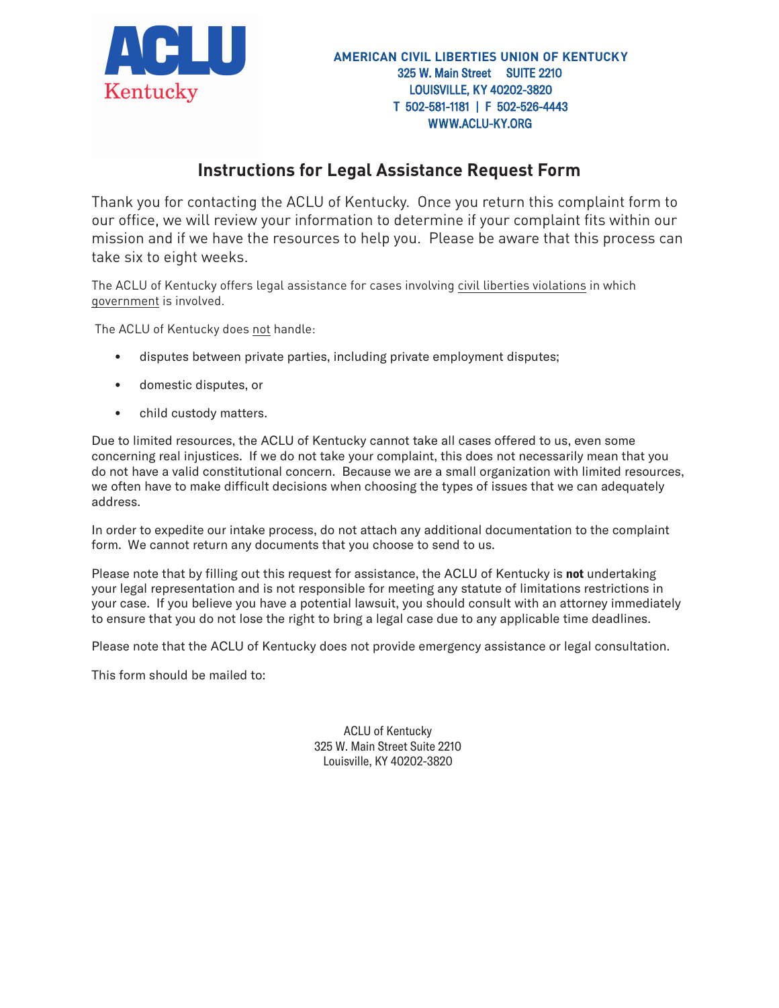

## **Instructions for Legal Assistance Request Form**

Thank you for contacting the ACLU of Kentucky. Once you return this complaint form to our office, we will review your information to determine if your complaint fits within our mission and if we have the resources to help you. Please be aware that this process can take six to eight weeks.

The ACLU of Kentucky offers legal assistance for cases involving civil liberties violations in which government is involved.

The ACLU of Kentucky does not handle:

- disputes between private parties, including private employment disputes;
- domestic disputes, or
- child custody matters.

Due to limited resources, the ACLU of Kentucky cannot take all cases offered to us, even some concerning real injustices. If we do not take your complaint, this does not necessarily mean that you do not have a valid constitutional concern. Because we are a small organization with limited resources, we often have to make difficult decisions when choosing the types of issues that we can adequately address.

In order to expedite our intake process, do not attach any additional documentation to the complaint form. We cannot return any documents that you choose to send to us.

Please note that by filling out this request for assistance, the ACLU of Kentucky is **not** undertaking your legal representation and is not responsible for meeting any statute of limitations restrictions in your case. If you believe you have a potential lawsuit, you should consult with an attorney immediately to ensure that you do not lose the right to bring a legal case due to any applicable time deadlines.

Please note that the ACLU of Kentucky does not provide emergency assistance or legal consultation.

This form should be mailed to:

ACLU of Kentucky 325 W. Main Street Suite 2210 Louisville, KY 40202-3820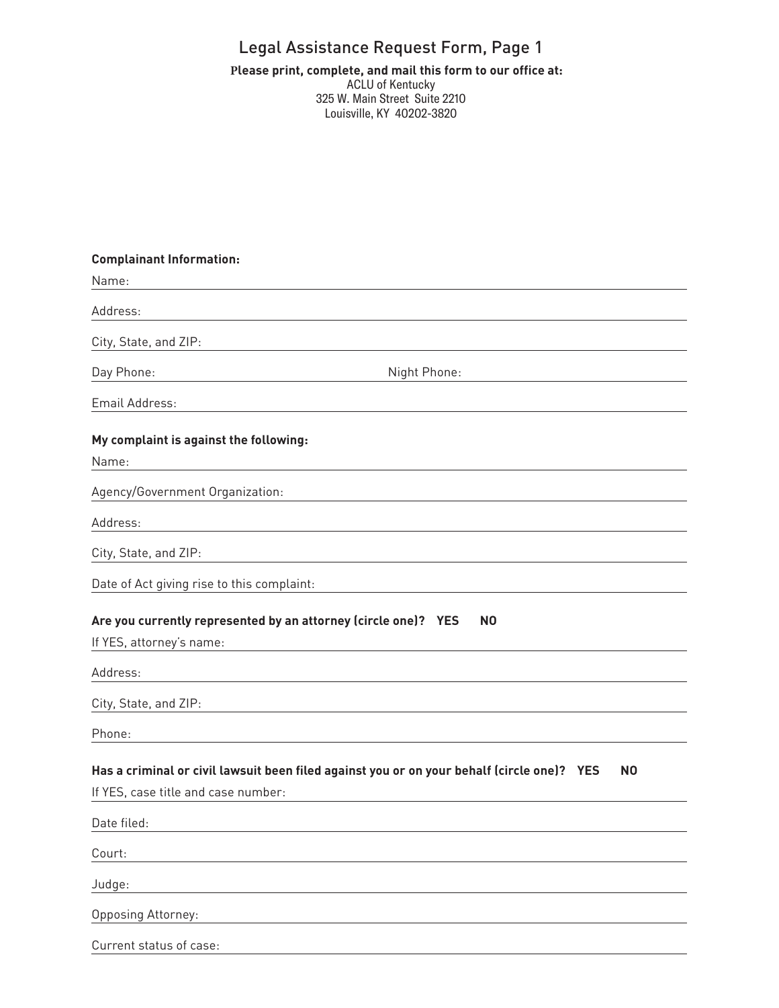## Legal Assistance Request Form, Page 1

#### **ff Please print, complete, and mail this form to our office at:** ACLU of Kentucky 325 W. Main Street Suite 2210 Louisville, KY 40202-3820

# **Complainant Information:** Name: Address: City, State, and ZIP: Day Phone: Night Phone: Email Address: **My complaint is against the following:** Name: Agency/Government Organization: Address: City, State, and ZIP: Date of Act giving rise to this complaint: **Are you currently represented by an attorney (circle one)? YES NO** If YES, attorney's name: Address: City, State, and ZIP: Phone: **Has a criminal or civil lawsuit been filed against you or on your behalf (circle one)? YES NO** If YES, case title and case number: Date filed: Court: Judge: Opposing Attorney:

Current status of case: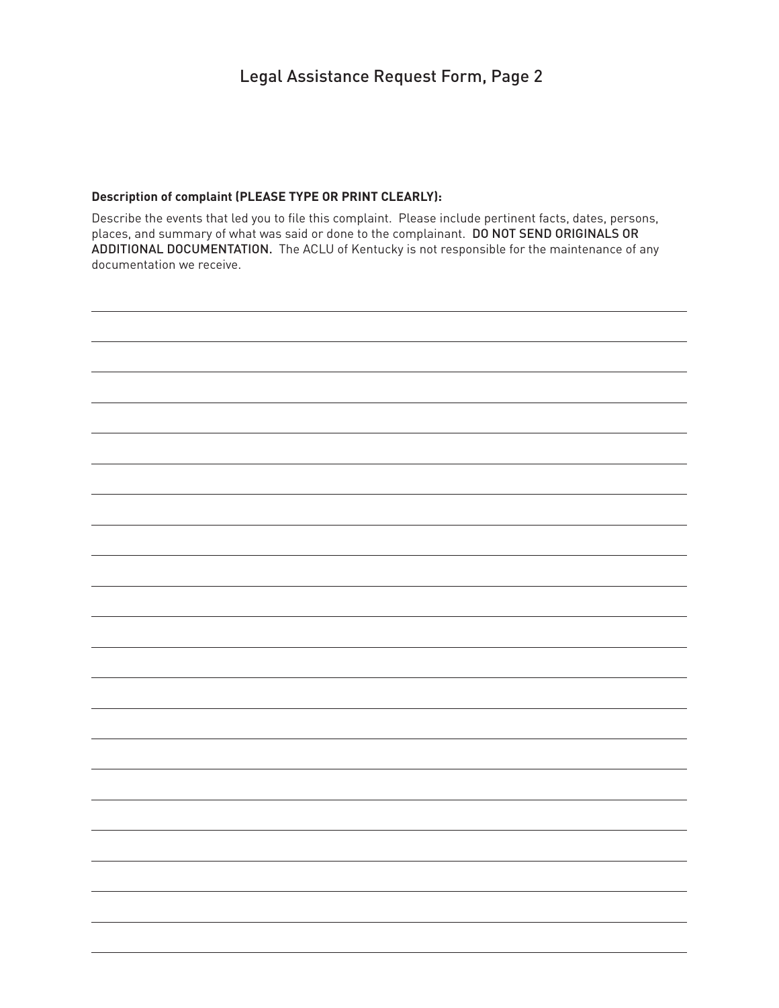## Legal Assistance Request Form, Page 2

#### **Description of complaint (PLEASE TYPE OR PRINT CLEARLY):**

Describe the events that led you to file this complaint. Please include pertinent facts, dates, persons, places, and summary of what was said or done to the complainant. DO NOT SEND ORIGINALS OR ADDITIONAL DOCUMENTATION. The ACLU of Kentucky is not responsible for the maintenance of any documentation we receive.